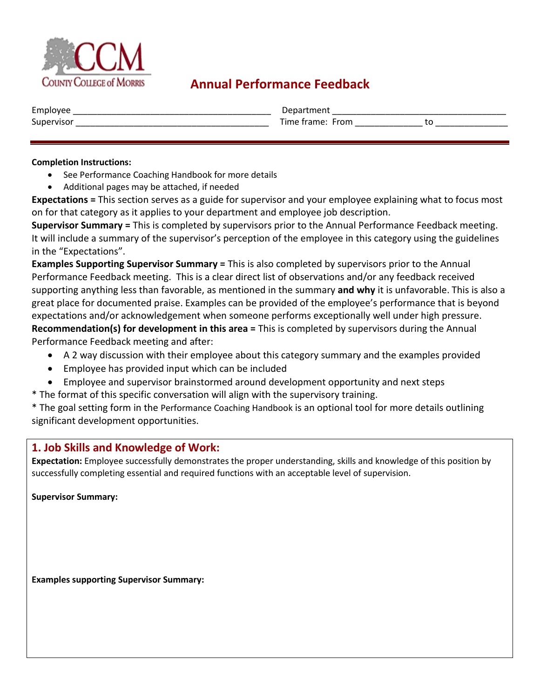

# **Annual Performance Feedback**

| $\overline{\phantom{0}}$<br>Employee | ص (                 |  |
|--------------------------------------|---------------------|--|
| Supervisor                           | Time frame.<br>From |  |
|                                      |                     |  |

#### **Completion Instructions:**

- See Performance Coaching Handbook for more details
- Additional pages may be attached, if needed

**Expectations =** This section serves as a guide for supervisor and your employee explaining what to focus most on for that category as it applies to your department and employee job description.

**Supervisor Summary =** This is completed by supervisors prior to the Annual Performance Feedback meeting. It will include a summary of the supervisor's perception of the employee in this category using the guidelines in the "Expectations".

**Examples Supporting Supervisor Summary =** This is also completed by supervisors prior to the Annual Performance Feedback meeting. This is a clear direct list of observations and/or any feedback received supporting anything less than favorable, as mentioned in the summary **and why** it is unfavorable. This is also a great place for documented praise. Examples can be provided of the employee's performance that is beyond expectations and/or acknowledgement when someone performs exceptionally well under high pressure. **Recommendation(s) for development in this area =** This is completed by supervisors during the Annual Performance Feedback meeting and after:

- A 2 way discussion with their employee about this category summary and the examples provided
- Employee has provided input which can be included
- Employee and supervisor brainstormed around development opportunity and next steps
- \* The format of this specific conversation will align with the supervisory training.

\* The goal setting form in the Performance Coaching Handbook is an optional tool for more details outlining significant development opportunities.

### **1. Job Skills and Knowledge of Work:**

**Expectation:** Employee successfully demonstrates the proper understanding, skills and knowledge of this position by successfully completing essential and required functions with an acceptable level of supervision.

**Supervisor Summary:**

**Examples supporting Supervisor Summary:**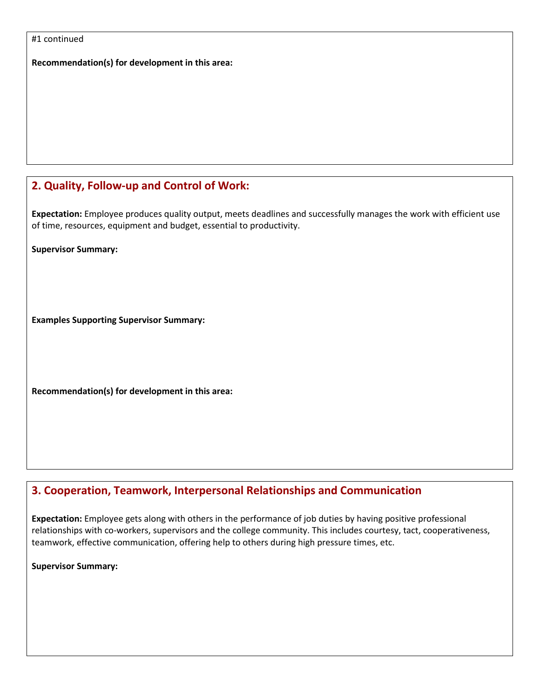#1 continued

**Recommendation(s) for development in this area:** 

# **2. Quality, Follow-up and Control of Work:**

**Expectation:** Employee produces quality output, meets deadlines and successfully manages the work with efficient use of time, resources, equipment and budget, essential to productivity.

**Supervisor Summary:**

**Examples Supporting Supervisor Summary:** 

**Recommendation(s) for development in this area:** 

# **3. Cooperation, Teamwork, Interpersonal Relationships and Communication**

**Expectation:** Employee gets along with others in the performance of job duties by having positive professional relationships with co-workers, supervisors and the college community. This includes courtesy, tact, cooperativeness, teamwork, effective communication, offering help to others during high pressure times, etc.

**Supervisor Summary:**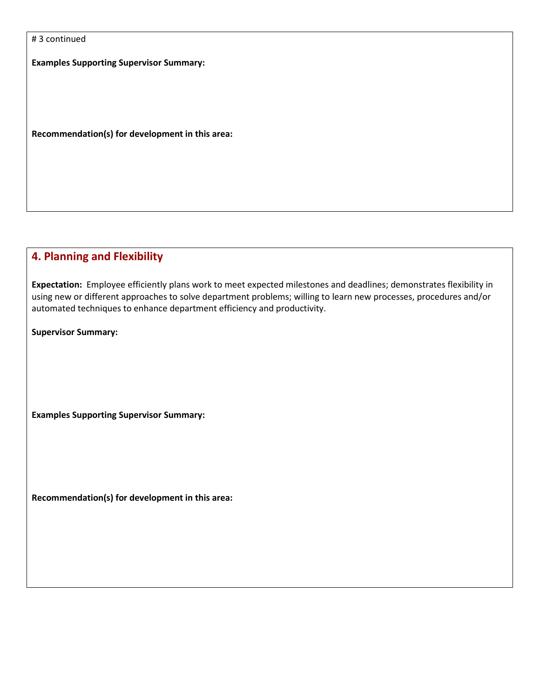|  |  | #3 continued |
|--|--|--------------|
|--|--|--------------|

**Examples Supporting Supervisor Summary:**

**Recommendation(s) for development in this area:** 

### **4. Planning and Flexibility**

**Expectation:** Employee efficiently plans work to meet expected milestones and deadlines; demonstrates flexibility in using new or different approaches to solve department problems; willing to learn new processes, procedures and/or automated techniques to enhance department efficiency and productivity.

**Supervisor Summary:**

**Examples Supporting Supervisor Summary:** 

**Recommendation(s) for development in this area:**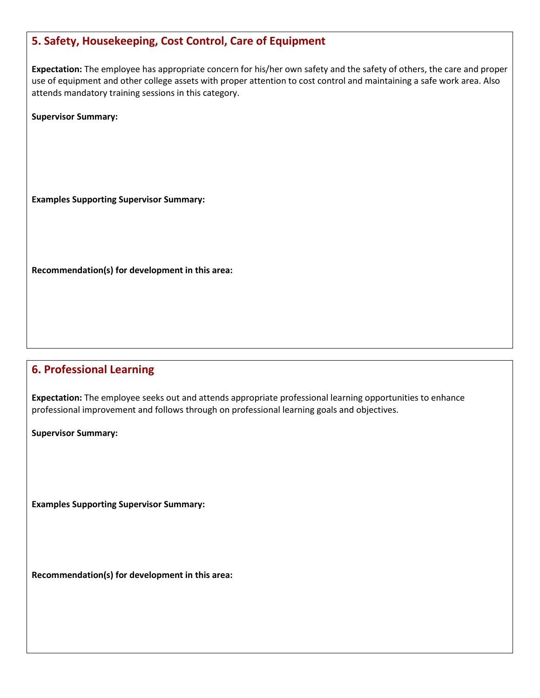# **5. Safety, Housekeeping, Cost Control, Care of Equipment**

**Expectation:** The employee has appropriate concern for his/her own safety and the safety of others, the care and proper use of equipment and other college assets with proper attention to cost control and maintaining a safe work area. Also attends mandatory training sessions in this category.

**Supervisor Summary:**

**Examples Supporting Supervisor Summary:** 

**Recommendation(s) for development in this area:** 

### **6. Professional Learning**

**Expectation:** The employee seeks out and attends appropriate professional learning opportunities to enhance professional improvement and follows through on professional learning goals and objectives.

**Supervisor Summary:**

**Examples Supporting Supervisor Summary:** 

**Recommendation(s) for development in this area:**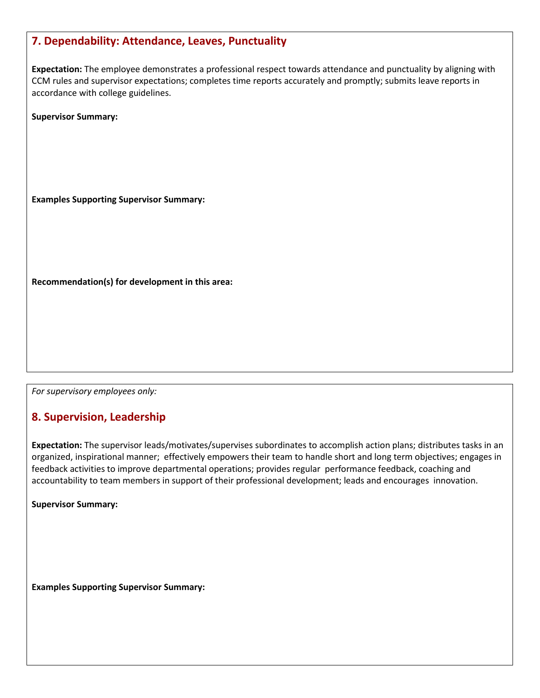| 7. Dependability: Attendance, Leaves, Punctuality                                                                                                                                                                                                                           |
|-----------------------------------------------------------------------------------------------------------------------------------------------------------------------------------------------------------------------------------------------------------------------------|
| Expectation: The employee demonstrates a professional respect towards attendance and punctuality by aligning with<br>CCM rules and supervisor expectations; completes time reports accurately and promptly; submits leave reports in<br>accordance with college guidelines. |
| <b>Supervisor Summary:</b>                                                                                                                                                                                                                                                  |
|                                                                                                                                                                                                                                                                             |
|                                                                                                                                                                                                                                                                             |
|                                                                                                                                                                                                                                                                             |
| <b>Examples Supporting Supervisor Summary:</b>                                                                                                                                                                                                                              |
|                                                                                                                                                                                                                                                                             |
|                                                                                                                                                                                                                                                                             |
|                                                                                                                                                                                                                                                                             |
| Recommendation(s) for development in this area:                                                                                                                                                                                                                             |
|                                                                                                                                                                                                                                                                             |
|                                                                                                                                                                                                                                                                             |
|                                                                                                                                                                                                                                                                             |
|                                                                                                                                                                                                                                                                             |
| For supervisory employees only:                                                                                                                                                                                                                                             |

# **8. Supervision, Leadership**

**Expectation:** The supervisor leads/motivates/supervises subordinates to accomplish action plans; distributes tasks in an organized, inspirational manner; effectively empowers their team to handle short and long term objectives; engages in feedback activities to improve departmental operations; provides regular performance feedback, coaching and accountability to team members in support of their professional development; leads and encourages innovation.

**Supervisor Summary:**

**Examples Supporting Supervisor Summary:**